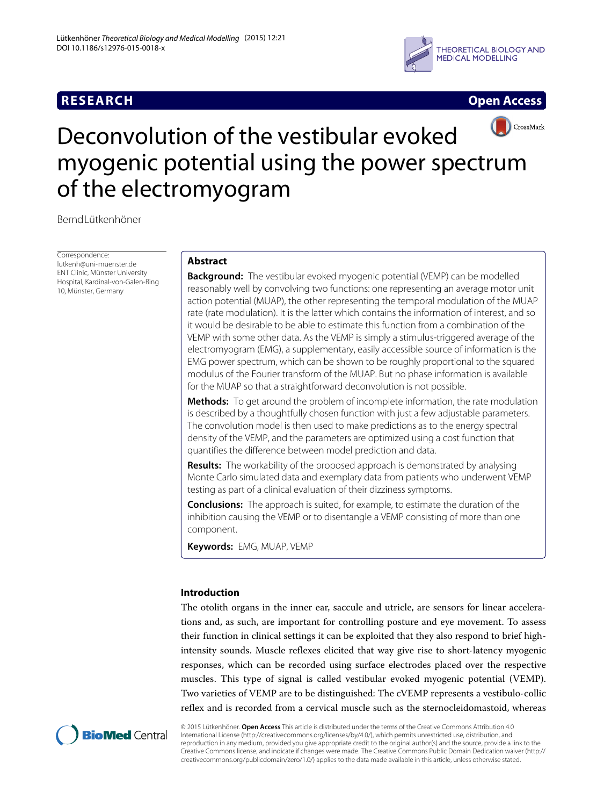





# Deconvolution of the vestibular evoked myogenic potential using the power spectrum of the electromyogram

BerndLütkenhöner

Correspondence: [lutkenh@uni-muenster.de](mailto: lutkenh@uni-muenster.de) ENT Clinic, Münster University Hospital, Kardinal-von-Galen-Ring 10, Münster, Germany

# **Abstract**

**Background:** The vestibular evoked myogenic potential (VEMP) can be modelled reasonably well by convolving two functions: one representing an average motor unit action potential (MUAP), the other representing the temporal modulation of the MUAP rate (rate modulation). It is the latter which contains the information of interest, and so it would be desirable to be able to estimate this function from a combination of the VEMP with some other data. As the VEMP is simply a stimulus-triggered average of the electromyogram (EMG), a supplementary, easily accessible source of information is the EMG power spectrum, which can be shown to be roughly proportional to the squared modulus of the Fourier transform of the MUAP. But no phase information is available for the MUAP so that a straightforward deconvolution is not possible.

**Methods:** To get around the problem of incomplete information, the rate modulation is described by a thoughtfully chosen function with just a few adjustable parameters. The convolution model is then used to make predictions as to the energy spectral density of the VEMP, and the parameters are optimized using a cost function that quantifies the difference between model prediction and data.

**Results:** The workability of the proposed approach is demonstrated by analysing Monte Carlo simulated data and exemplary data from patients who underwent VEMP testing as part of a clinical evaluation of their dizziness symptoms.

**Conclusions:** The approach is suited, for example, to estimate the duration of the inhibition causing the VEMP or to disentangle a VEMP consisting of more than one component.

**Keywords:** EMG, MUAP, VEMP

# **Introduction**

The otolith organs in the inner ear, saccule and utricle, are sensors for linear accelerations and, as such, are important for controlling posture and eye movement. To assess their function in clinical settings it can be exploited that they also respond to brief highintensity sounds. Muscle reflexes elicited that way give rise to short-latency myogenic responses, which can be recorded using surface electrodes placed over the respective muscles. This type of signal is called vestibular evoked myogenic potential (VEMP). Two varieties of VEMP are to be distinguished: The cVEMP represents a vestibulo-collic reflex and is recorded from a cervical muscle such as the sternocleidomastoid, whereas



© 2015 Lütkenhöner. **Open Access** This article is distributed under the terms of the Creative Commons Attribution 4.0 International License [\(http://creativecommons.org/licenses/by/4.0/\)](http://creativecommons.org/licenses/by/4.0/), which permits unrestricted use, distribution, and reproduction in any medium, provided you give appropriate credit to the original author(s) and the source, provide a link to the Creative Commons license, and indicate if changes were made. The Creative Commons Public Domain Dedication waiver [\(http://](http://creativecommons.org/publicdomain/zero/1.0/) [creativecommons.org/publicdomain/zero/1.0/\)](http://creativecommons.org/publicdomain/zero/1.0/) applies to the data made available in this article, unless otherwise stated.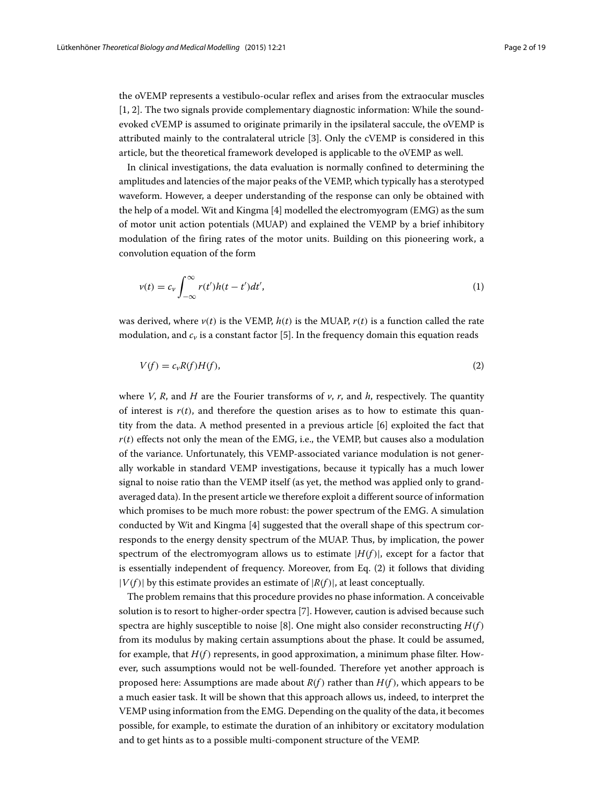the oVEMP represents a vestibulo-ocular reflex and arises from the extraocular muscles [\[1,](#page-17-0) [2\]](#page-17-1). The two signals provide complementary diagnostic information: While the soundevoked cVEMP is assumed to originate primarily in the ipsilateral saccule, the oVEMP is attributed mainly to the contralateral utricle [\[3\]](#page-17-2). Only the cVEMP is considered in this article, but the theoretical framework developed is applicable to the oVEMP as well.

In clinical investigations, the data evaluation is normally confined to determining the amplitudes and latencies of the major peaks of the VEMP, which typically has a sterotyped waveform. However, a deeper understanding of the response can only be obtained with the help of a model. Wit and Kingma [\[4\]](#page-18-0) modelled the electromyogram (EMG) as the sum of motor unit action potentials (MUAP) and explained the VEMP by a brief inhibitory modulation of the firing rates of the motor units. Building on this pioneering work, a convolution equation of the form

<span id="page-1-1"></span>
$$
v(t) = c_v \int_{-\infty}^{\infty} r(t')h(t-t')dt',
$$
\n(1)

was derived, where  $v(t)$  is the VEMP,  $h(t)$  is the MUAP,  $r(t)$  is a function called the rate modulation, and  $c_v$  is a constant factor [\[5\]](#page-18-1). In the frequency domain this equation reads

<span id="page-1-0"></span>
$$
V(f) = cv R(f)H(f),
$$
\n(2)

where *V*, *R*, and *H* are the Fourier transforms of *v*, *r*, and *h*, respectively. The quantity of interest is  $r(t)$ , and therefore the question arises as to how to estimate this quantity from the data. A method presented in a previous article [\[6\]](#page-18-2) exploited the fact that *r*(*t*) effects not only the mean of the EMG, i.e., the VEMP, but causes also a modulation of the variance. Unfortunately, this VEMP-associated variance modulation is not generally workable in standard VEMP investigations, because it typically has a much lower signal to noise ratio than the VEMP itself (as yet, the method was applied only to grandaveraged data). In the present article we therefore exploit a different source of information which promises to be much more robust: the power spectrum of the EMG. A simulation conducted by Wit and Kingma [\[4\]](#page-18-0) suggested that the overall shape of this spectrum corresponds to the energy density spectrum of the MUAP. Thus, by implication, the power spectrum of the electromyogram allows us to estimate  $|H(f)|$ , except for a factor that is essentially independent of frequency. Moreover, from Eq. [\(2\)](#page-1-0) it follows that dividing  $|V(f)|$  by this estimate provides an estimate of  $|R(f)|$ , at least conceptually.

The problem remains that this procedure provides no phase information. A conceivable solution is to resort to higher-order spectra [\[7\]](#page-18-3). However, caution is advised because such spectra are highly susceptible to noise [\[8\]](#page-18-4). One might also consider reconstructing *H*(*f* ) from its modulus by making certain assumptions about the phase. It could be assumed, for example, that  $H(f)$  represents, in good approximation, a minimum phase filter. However, such assumptions would not be well-founded. Therefore yet another approach is proposed here: Assumptions are made about *R*(*f*) rather than *H*(*f*), which appears to be a much easier task. It will be shown that this approach allows us, indeed, to interpret the VEMP using information from the EMG. Depending on the quality of the data, it becomes possible, for example, to estimate the duration of an inhibitory or excitatory modulation and to get hints as to a possible multi-component structure of the VEMP.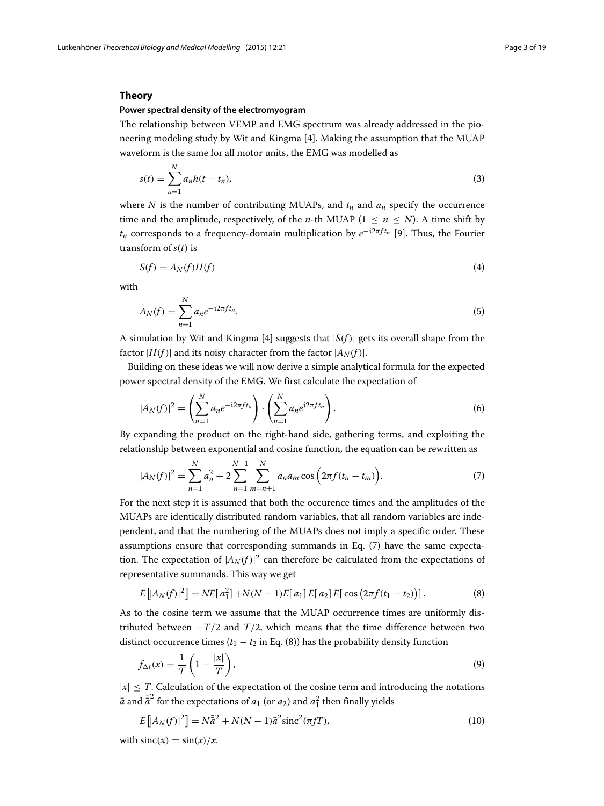#### **Theory**

#### **Power spectral density of the electromyogram**

The relationship between VEMP and EMG spectrum was already addressed in the pioneering modeling study by Wit and Kingma [\[4\]](#page-18-0). Making the assumption that the MUAP waveform is the same for all motor units, the EMG was modelled as

<span id="page-2-3"></span>
$$
s(t) = \sum_{n=1}^{N} a_n h(t - t_n),
$$
\n(3)

where  $N$  is the number of contributing MUAPs, and  $t_n$  and  $a_n$  specify the occurrence time and the amplitude, respectively, of the *n*-th MUAP ( $1 \le n \le N$ ). A time shift by  $t_n$  corresponds to a frequency-domain multiplication by  $e^{-i2\pi f t_n}$  [\[9\]](#page-18-5). Thus, the Fourier transform of *s*(*t*) is

$$
S(f) = A_N(f)H(f) \tag{4}
$$

with

$$
A_N(f) = \sum_{n=1}^N a_n e^{-i2\pi f t_n}.
$$
\n(5)

A simulation by Wit and Kingma [\[4\]](#page-18-0) suggests that  $|S(f)|$  gets its overall shape from the factor  $|H(f)|$  and its noisy character from the factor  $|A_N(f)|$ .

Building on these ideas we will now derive a simple analytical formula for the expected power spectral density of the EMG. We first calculate the expectation of

$$
|A_N(f)|^2 = \left(\sum_{n=1}^N a_n e^{-i2\pi ft_n}\right) \cdot \left(\sum_{n=1}^N a_n e^{i2\pi ft_n}\right).
$$
 (6)

By expanding the product on the right-hand side, gathering terms, and exploiting the relationship between exponential and cosine function, the equation can be rewritten as

<span id="page-2-0"></span>
$$
|A_N(f)|^2 = \sum_{n=1}^N a_n^2 + 2 \sum_{n=1}^{N-1} \sum_{m=n+1}^N a_n a_m \cos \left(2\pi f(t_n - t_m)\right).
$$
 (7)

For the next step it is assumed that both the occurence times and the amplitudes of the MUAPs are identically distributed random variables, that all random variables are independent, and that the numbering of the MUAPs does not imply a specific order. These assumptions ensure that corresponding summands in Eq. [\(7\)](#page-2-0) have the same expectation. The expectation of  $|A_N(f)|^2$  can therefore be calculated from the expectations of representative summands. This way we get

<span id="page-2-1"></span>
$$
E\left[|A_N(f)|^2\right] = NE[a_1^2] + N(N-1)E[a_1]E[a_2]E[\cos(2\pi f(t_1 - t_2))].\tag{8}
$$

As to the cosine term we assume that the MUAP occurrence times are uniformly distributed between  $-T/2$  and  $T/2$ , which means that the time difference between two distinct occurrence times  $(t_1 - t_2)$  in Eq. [\(8\)](#page-2-1)) has the probability density function

$$
f_{\Delta t}(x) = \frac{1}{T} \left( 1 - \frac{|x|}{T} \right),\tag{9}
$$

 $|x|$  < *T*. Calculation of the expectation of the cosine term and introducing the notations  $\bar{a}$  and  $\bar{\bar{a}}^2$  for the expectations of  $a_1$  (or  $a_2$ ) and  $a_1^2$  then finally yields

<span id="page-2-2"></span>
$$
E\left[|A_N(f)|^2\right] = N\bar{\bar{a}}^2 + N(N-1)\bar{a}^2 \text{sinc}^2(\pi f T),\tag{10}
$$

with  $\operatorname{sinc}(x) = \sin(x)/x$ .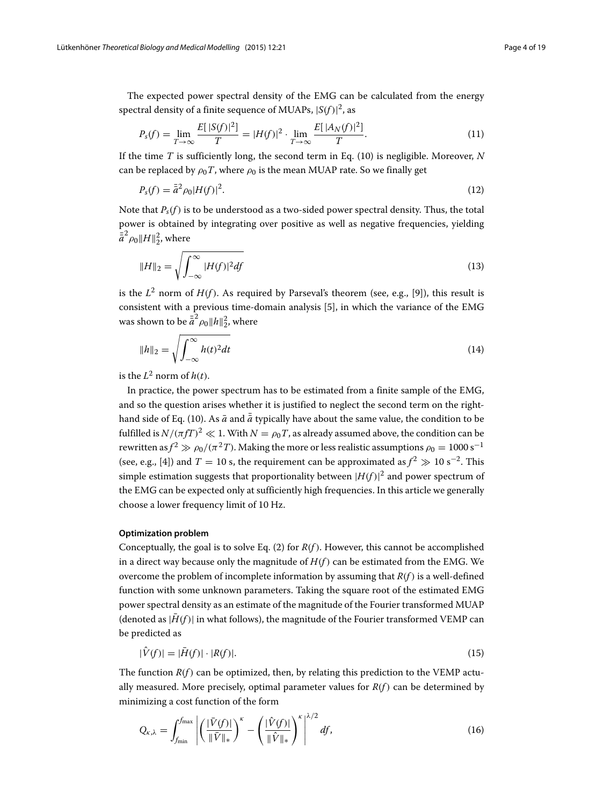The expected power spectral density of the EMG can be calculated from the energy spectral density of a finite sequence of MUAPs,  $|S(f)|^2$ , as

$$
P_s(f) = \lim_{T \to \infty} \frac{E[|S(f)|^2]}{T} = |H(f)|^2 \cdot \lim_{T \to \infty} \frac{E[|A_N(f)|^2]}{T}.
$$
 (11)

If the time *T* is sufficiently long, the second term in Eq. [\(10\)](#page-2-2) is negligible. Moreover, *N* can be replaced by  $\rho_0 T$ , where  $\rho_0$  is the mean MUAP rate. So we finally get

<span id="page-3-1"></span>
$$
P_s(f) = \bar{\bar{a}}^2 \rho_0 |H(f)|^2. \tag{12}
$$

Note that *Ps*(*f*) is to be understood as a two-sided power spectral density. Thus, the total power is obtained by integrating over positive as well as negative frequencies, yielding  $\bar{\bar{a}}^2\rho_0\|H\|_2^2$ , where

$$
||H||_2 = \sqrt{\int_{-\infty}^{\infty} |H(f)|^2 df}
$$
 (13)

is the  $L^2$  norm of  $H(f)$ . As required by Parseval's theorem (see, e.g., [\[9\]](#page-18-5)), this result is consistent with a previous time-domain analysis [\[5\]](#page-18-1), in which the variance of the EMG was shown to be  $\bar{a}^2 \rho_0 \|h\|_2^2$ , where

$$
||h||_2 = \sqrt{\int_{-\infty}^{\infty} h(t)^2 dt}
$$
 (14)

is the  $L^2$  norm of  $h(t)$ .

In practice, the power spectrum has to be estimated from a finite sample of the EMG, and so the question arises whether it is justified to neglect the second term on the right-hand side of Eq. [\(10\)](#page-2-2). As  $\bar{a}$  and  $\bar{a}$  typically have about the same value, the condition to be fulfilled is  $N/(\pi f T)^2 \ll 1$ . With  $N = \rho_0 T$ , as already assumed above, the condition can be rewritten as  $f^2 \gg \rho_0/(\pi^2 T)$ . Making the more or less realistic assumptions  $\rho_0 = 1000 \text{ s}^{-1}$ (see, e.g., [\[4\]](#page-18-0)) and *T* = 10 s, the requirement can be approximated as  $f^2 \gg 10 \text{ s}^{-2}$ . This simple estimation suggests that proportionality between  $|H(f)|^2$  and power spectrum of the EMG can be expected only at sufficiently high frequencies. In this article we generally choose a lower frequency limit of 10 Hz.

#### **Optimization problem**

Conceptually, the goal is to solve Eq. [\(2\)](#page-1-0) for *R*(*f*). However, this cannot be accomplished in a direct way because only the magnitude of  $H(f)$  can be estimated from the EMG. We overcome the problem of incomplete information by assuming that  $R(f)$  is a well-defined function with some unknown parameters. Taking the square root of the estimated EMG power spectral density as an estimate of the magnitude of the Fourier transformed MUAP (denoted as  $|H(f)|$  in what follows), the magnitude of the Fourier transformed VEMP can be predicted as

$$
|\hat{V}(f)| = |\bar{H}(f)| \cdot |R(f)|. \tag{15}
$$

The function  $R(f)$  can be optimized, then, by relating this prediction to the VEMP actually measured. More precisely, optimal parameter values for *R*(*f*) can be determined by minimizing a cost function of the form

<span id="page-3-0"></span>
$$
Q_{\kappa,\lambda} = \int_{f_{\min}}^{f_{\max}} \left| \left( \frac{|\bar{V}(f)|}{\|\bar{V}\|_{*}} \right)^{\kappa} - \left( \frac{|\hat{V}(f)|}{\|\hat{V}\|_{*}} \right)^{\kappa} \right|^{1/2} df, \tag{16}
$$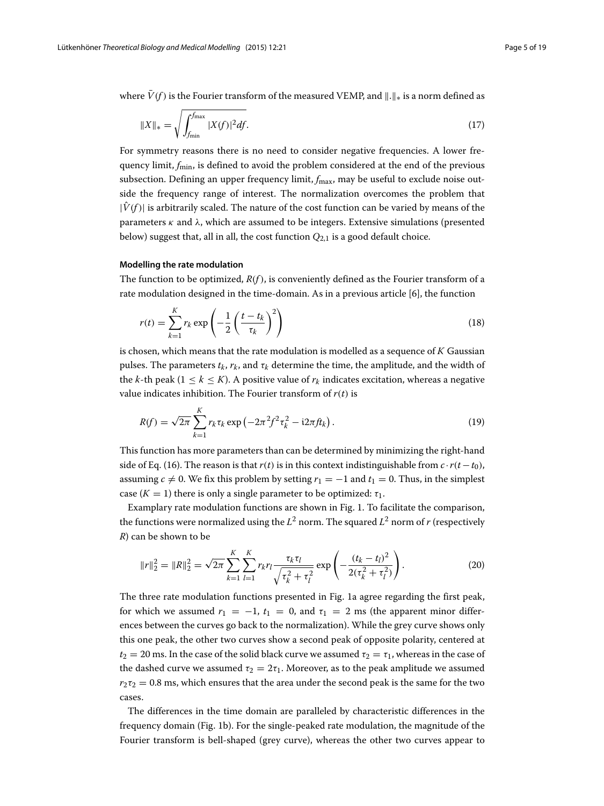where  $\bar{V}(f)$  is the Fourier transform of the measured VEMP, and  $\|.\|_*$  is a norm defined as

$$
||X||_{*} = \sqrt{\int_{f_{\min}}}^{f_{\max}} |X(f)|^2 df.
$$
 (17)

For symmetry reasons there is no need to consider negative frequencies. A lower frequency limit, *f*min, is defined to avoid the problem considered at the end of the previous subsection. Defining an upper frequency limit, *f*max, may be useful to exclude noise outside the frequency range of interest. The normalization overcomes the problem that  $|\hat{V}(f)|$  is arbitrarily scaled. The nature of the cost function can be varied by means of the parameters  $\kappa$  and  $\lambda$ , which are assumed to be integers. Extensive simulations (presented below) suggest that, all in all, the cost function *Q*2,1 is a good default choice.

#### **Modelling the rate modulation**

The function to be optimized, *R*(*f*), is conveniently defined as the Fourier transform of a rate modulation designed in the time-domain. As in a previous article [\[6\]](#page-18-2), the function

<span id="page-4-0"></span>
$$
r(t) = \sum_{k=1}^{K} r_k \exp\left(-\frac{1}{2}\left(\frac{t - t_k}{\tau_k}\right)^2\right)
$$
(18)

is chosen, which means that the rate modulation is modelled as a sequence of *K* Gaussian pulses. The parameters  $t_k$ ,  $r_k$ , and  $\tau_k$  determine the time, the amplitude, and the width of the *k*-th peak ( $1 \leq k \leq K$ ). A positive value of  $r_k$  indicates excitation, whereas a negative value indicates inhibition. The Fourier transform of  $r(t)$  is

$$
R(f) = \sqrt{2\pi} \sum_{k=1}^{K} r_k \tau_k \exp\left(-2\pi^2 f^2 \tau_k^2 - i2\pi f t_k\right).
$$
 (19)

This function has more parameters than can be determined by minimizing the right-hand side of Eq. [\(16\)](#page-3-0). The reason is that  $r(t)$  is in this context indistinguishable from  $c \cdot r(t - t_0)$ , assuming  $c \neq 0$ . We fix this problem by setting  $r_1 = -1$  and  $t_1 = 0$ . Thus, in the simplest case  $(K = 1)$  there is only a single parameter to be optimized:  $\tau_1$ .

Examplary rate modulation functions are shown in Fig. [1.](#page-5-0) To facilitate the comparison, the functions were normalized using the  $L^2$  norm. The squared  $L^2$  norm of *r* (respectively *R*) can be shown to be

$$
||r||_2^2 = ||R||_2^2 = \sqrt{2\pi} \sum_{k=1}^K \sum_{l=1}^K r_k r_l \frac{\tau_k \tau_l}{\sqrt{\tau_k^2 + \tau_l^2}} \exp\left(-\frac{(t_k - t_l)^2}{2(\tau_k^2 + \tau_l^2)}\right).
$$
 (20)

The three rate modulation functions presented in Fig. [1](#page-5-0)[a](#page-5-1) agree regarding the first peak, for which we assumed  $r_1 = -1$ ,  $t_1 = 0$ , and  $\tau_1 = 2$  ms (the apparent minor differences between the curves go back to the normalization). While the grey curve shows only this one peak, the other two curves show a second peak of opposite polarity, centered at  $t_2 = 20$  ms. In the case of the solid black curve we assumed  $\tau_2 = \tau_1$ , whereas in the case of the dashed curve we assumed  $\tau_2 = 2\tau_1$ . Moreover, as to the peak amplitude we assumed  $r_2 \tau_2 = 0.8$  ms, which ensures that the area under the second peak is the same for the two cases.

The differences in the time domain are paralleled by characteristic differences in the frequency domain (Fig. [1](#page-5-0)[b\)](#page-5-1). For the single-peaked rate modulation, the magnitude of the Fourier transform is bell-shaped (grey curve), whereas the other two curves appear to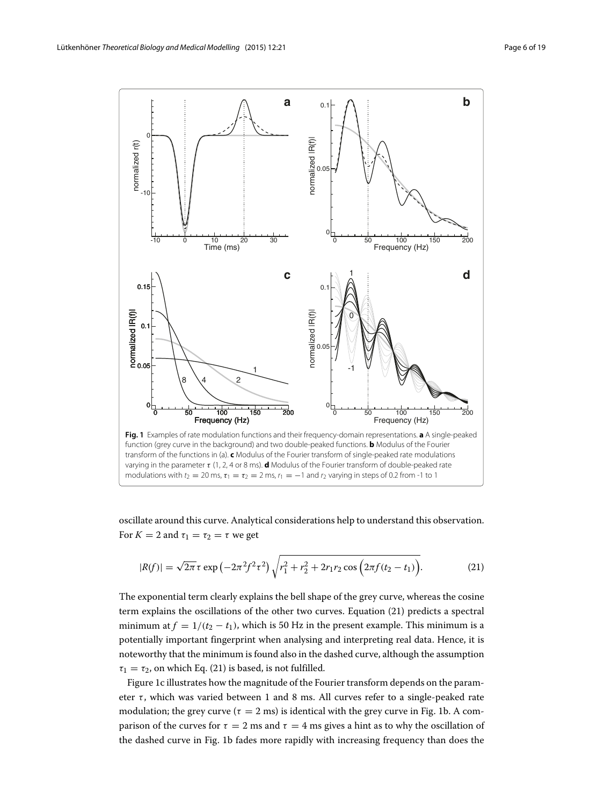

<span id="page-5-1"></span><span id="page-5-0"></span>oscillate around this curve. Analytical considerations help to understand this observation. For  $K = 2$  and  $\tau_1 = \tau_2 = \tau$  we get

<span id="page-5-2"></span>
$$
|R(f)| = \sqrt{2\pi} \tau \exp\left(-2\pi^2 f^2 \tau^2\right) \sqrt{r_1^2 + r_2^2 + 2r_1 r_2 \cos\left(2\pi f (t_2 - t_1)\right)}.
$$
 (21)

The exponential term clearly explains the bell shape of the grey curve, whereas the cosine term explains the oscillations of the other two curves. Equation [\(21\)](#page-5-2) predicts a spectral minimum at  $f = 1/(t_2 - t_1)$ , which is 50 Hz in the present example. This minimum is a potentially important fingerprint when analysing and interpreting real data. Hence, it is noteworthy that the minimum is found also in the dashed curve, although the assumption  $\tau_1 = \tau_2$ , on which Eq. [\(21\)](#page-5-2) is based, is not fulfilled.

Figure [1](#page-5-0)[c](#page-5-1) illustrates how the magnitude of the Fourier transform depends on the parameter  $\tau$ , which was varied between 1 and 8 ms. All curves refer to a single-peaked rate modulation; the grey curve ( $\tau = 2$  ms) is identical with the grey curve in Fig. [1](#page-5-0)[b.](#page-5-1) A comparison of the curves for  $\tau = 2$  ms and  $\tau = 4$  ms gives a hint as to why the oscillation of the dashed curve in Fig. [1](#page-5-0)[b](#page-5-1) fades more rapidly with increasing frequency than does the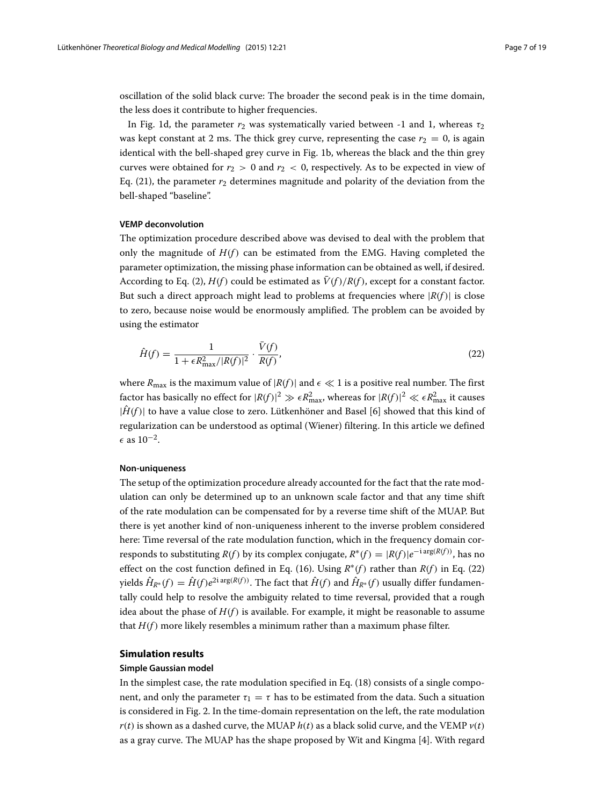oscillation of the solid black curve: The broader the second peak is in the time domain, the less does it contribute to higher frequencies.

In Fig. [1](#page-5-0)[d,](#page-5-1) the parameter  $r_2$  was systematically varied between -1 and 1, whereas  $\tau_2$ was kept constant at 2 ms. The thick grey curve, representing the case  $r_2 = 0$ , is again identical with the bell-shaped grey curve in Fig. [1](#page-5-0)[b,](#page-5-1) whereas the black and the thin grey curves were obtained for  $r_2 > 0$  and  $r_2 < 0$ , respectively. As to be expected in view of Eq.  $(21)$ , the parameter  $r_2$  determines magnitude and polarity of the deviation from the bell-shaped "baseline".

### **VEMP deconvolution**

The optimization procedure described above was devised to deal with the problem that only the magnitude of  $H(f)$  can be estimated from the EMG. Having completed the parameter optimization, the missing phase information can be obtained as well, if desired. According to Eq. [\(2\)](#page-1-0),  $H(f)$  could be estimated as  $\overline{V}(f)/R(f)$ , except for a constant factor. But such a direct approach might lead to problems at frequencies where  $|R(f)|$  is close to zero, because noise would be enormously amplified. The problem can be avoided by using the estimator

<span id="page-6-0"></span>
$$
\hat{H}(f) = \frac{1}{1 + \epsilon R_{\text{max}}^2 / |R(f)|^2} \cdot \frac{\bar{V}(f)}{R(f)},\tag{22}
$$

where  $R_{\text{max}}$  is the maximum value of  $|R(f)|$  and  $\epsilon \ll 1$  is a positive real number. The first factor has basically no effect for  $|R(f)|^2 \gg \epsilon R_{\max}^2$ , whereas for  $|R(f)|^2 \ll \epsilon R_{\max}^2$  it causes  $|\hat{H}(f)|$  to have a value close to zero. Lütkenhöner and Basel [\[6\]](#page-18-2) showed that this kind of regularization can be understood as optimal (Wiener) filtering. In this article we defined  $\epsilon$  as  $10^{-2}$ .

#### **Non-uniqueness**

The setup of the optimization procedure already accounted for the fact that the rate modulation can only be determined up to an unknown scale factor and that any time shift of the rate modulation can be compensated for by a reverse time shift of the MUAP. But there is yet another kind of non-uniqueness inherent to the inverse problem considered here: Time reversal of the rate modulation function, which in the frequency domain corresponds to substituting *R*(*f*) by its complex conjugate,  $R^*(f) = |R(f)|e^{-i \arg(R(f))}$ , has no effect on the cost function defined in Eq. [\(16\)](#page-3-0). Using  $R^*(f)$  rather than  $R(f)$  in Eq. [\(22\)](#page-6-0) yields  $\hat{H}_{R^*}(f) = \hat{H}(f)e^{2i \arg(R(f))}$ . The fact that  $\hat{H}(f)$  and  $\hat{H}_{R^*}(f)$  usually differ fundamentally could help to resolve the ambiguity related to time reversal, provided that a rough idea about the phase of  $H(f)$  is available. For example, it might be reasonable to assume that *H*(*f*) more likely resembles a minimum rather than a maximum phase filter.

#### **Simulation results**

#### **Simple Gaussian model**

In the simplest case, the rate modulation specified in Eq. [\(18\)](#page-4-0) consists of a single component, and only the parameter  $\tau_1 = \tau$  has to be estimated from the data. Such a situation is considered in Fig. [2.](#page-7-0) In the time-domain representation on the left, the rate modulation  $r(t)$  is shown as a dashed curve, the MUAP  $h(t)$  as a black solid curve, and the VEMP  $v(t)$ as a gray curve. The MUAP has the shape proposed by Wit and Kingma [\[4\]](#page-18-0). With regard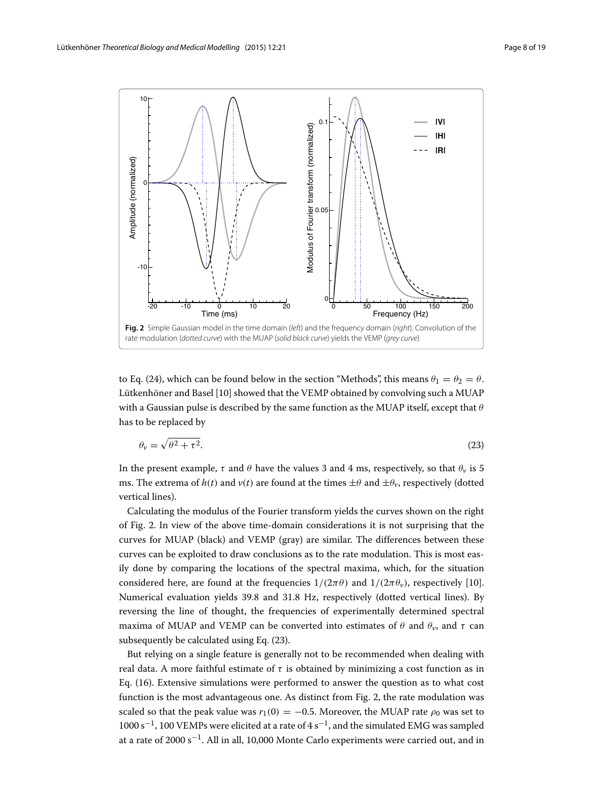

<span id="page-7-0"></span>to Eq. [\(24\)](#page-15-0), which can be found below in the section ["Methods"](#page-15-1), this means  $\theta_1 = \theta_2 = \theta$ . Lütkenhöner and Basel [\[10\]](#page-18-6) showed that the VEMP obtained by convolving such a MUAP with a Gaussian pulse is described by the same function as the MUAP itself, except that  $\theta$ has to be replaced by

<span id="page-7-1"></span>
$$
\theta_{\nu} = \sqrt{\theta^2 + \tau^2}.\tag{23}
$$

In the present example,  $\tau$  and  $\theta$  have the values 3 and 4 ms, respectively, so that  $\theta_{\nu}$  is 5 ms. The extrema of  $h(t)$  and  $v(t)$  are found at the times  $\pm\theta$  and  $\pm\theta_v$ , respectively (dotted vertical lines).

Calculating the modulus of the Fourier transform yields the curves shown on the right of Fig. [2.](#page-7-0) In view of the above time-domain considerations it is not surprising that the curves for MUAP (black) and VEMP (gray) are similar. The differences between these curves can be exploited to draw conclusions as to the rate modulation. This is most easily done by comparing the locations of the spectral maxima, which, for the situation considered here, are found at the frequencies  $1/(2\pi\theta)$  and  $1/(2\pi\theta_v)$ , respectively [\[10\]](#page-18-6). Numerical evaluation yields 39.8 and 31.8 Hz, respectively (dotted vertical lines). By reversing the line of thought, the frequencies of experimentally determined spectral maxima of MUAP and VEMP can be converted into estimates of  $\theta$  and  $\theta_{\nu}$ , and  $\tau$  can subsequently be calculated using Eq. [\(23\)](#page-7-1).

But relying on a single feature is generally not to be recommended when dealing with real data. A more faithful estimate of  $\tau$  is obtained by minimizing a cost function as in Eq. [\(16\)](#page-3-0). Extensive simulations were performed to answer the question as to what cost function is the most advantageous one. As distinct from Fig. [2,](#page-7-0) the rate modulation was scaled so that the peak value was  $r_1(0) = -0.5$ . Moreover, the MUAP rate  $\rho_0$  was set to  $1000$  s $^{-1}$ , 100 VEMPs were elicited at a rate of 4 s $^{-1}$ , and the simulated EMG was sampled at a rate of 2000 s−1. All in all, 10,000 Monte Carlo experiments were carried out, and in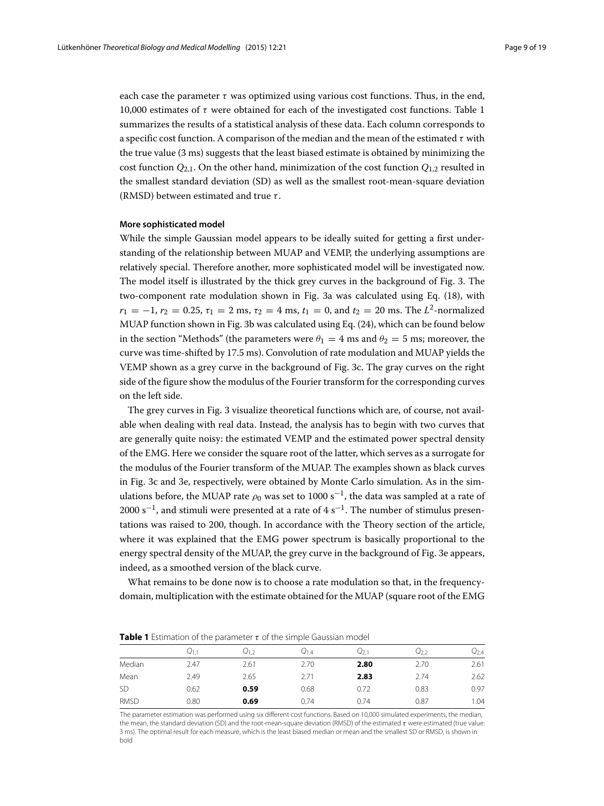each case the parameter  $\tau$  was optimized using various cost functions. Thus, in the end, 10,000 estimates of  $\tau$  were obtained for each of the investigated cost functions. Table [1](#page-8-0) summarizes the results of a statistical analysis of these data. Each column corresponds to a specific cost function. A comparison of the median and the mean of the estimated  $\tau$  with the true value (3 ms) suggests that the least biased estimate is obtained by minimizing the cost function  $Q_{2,1}$ . On the other hand, minimization of the cost function  $Q_{1,2}$  resulted in the smallest standard deviation (SD) as well as the smallest root-mean-square deviation (RMSD) between estimated and true  $\tau$ .

#### **More sophisticated model**

While the simple Gaussian model appears to be ideally suited for getting a first understanding of the relationship between MUAP and VEMP, the underlying assumptions are relatively special. Therefore another, more sophisticated model will be investigated now. The model itself is illustrated by the thick grey curves in the background of Fig. [3.](#page-9-0) The two-component rate modulation shown in Fig. [3](#page-9-0)[a](#page-9-1) was calculated using Eq. [\(18\)](#page-4-0), with  $r_1 = -1, r_2 = 0.25, \tau_1 = 2$  ms,  $\tau_2 = 4$  ms,  $t_1 = 0$ , and  $t_2 = 20$  ms. The *L*<sup>2</sup>-normalized MUAP function shown in Fig. [3](#page-9-0)[b](#page-9-1) was calculated using Eq. [\(24\)](#page-15-0), which can be found below in the section ["Methods"](#page-15-1) (the parameters were  $\theta_1 = 4$  ms and  $\theta_2 = 5$  ms; moreover, the curve was time-shifted by 17.5 ms). Convolution of rate modulation and MUAP yields the VEMP shown as a grey curve in the background of Fig. [3](#page-9-0)[c.](#page-9-1) The gray curves on the right side of the figure show the modulus of the Fourier transform for the corresponding curves on the left side.

The grey curves in Fig. [3](#page-9-0) visualize theoretical functions which are, of course, not available when dealing with real data. Instead, the analysis has to begin with two curves that are generally quite noisy: the estimated VEMP and the estimated power spectral density of the EMG. Here we consider the square root of the latter, which serves as a surrogate for the modulus of the Fourier transform of the MUAP. The examples shown as black curves in Fig. [3](#page-9-0)[c](#page-9-1) and [3](#page-9-0)[e,](#page-9-1) respectively, were obtained by Monte Carlo simulation. As in the simulations before, the MUAP rate  $\rho_0$  was set to 1000 s<sup>-1</sup>, the data was sampled at a rate of 2000 s<sup>-1</sup>, and stimuli were presented at a rate of 4 s<sup>-1</sup>. The number of stimulus presentations was raised to 200, though. In accordance with the Theory section of the article, where it was explained that the EMG power spectrum is basically proportional to the energy spectral density of the MUAP, the grey curve in the background of Fig. [3e](#page-9-0) appears, indeed, as a smoothed version of the black curve.

What remains to be done now is to choose a rate modulation so that, in the frequencydomain, multiplication with the estimate obtained for the MUAP (square root of the EMG

| Table 1 Estimation of the parameter $\tau$ of the simple Gaussian model |  |                 |          |          |  |
|-------------------------------------------------------------------------|--|-----------------|----------|----------|--|
|                                                                         |  | O <sub>12</sub> | $Q_{14}$ | $Q_{21}$ |  |

<span id="page-8-0"></span>

|             | Y1.1 | Y1.2 | $Q_{1,4}$ | Y2.1 | -22.2 | Q <sub>2.4</sub> |
|-------------|------|------|-----------|------|-------|------------------|
| Median      | 2.47 | 2.61 | 2.70      | 2.80 | 2.70  | 2.61             |
| Mean        | 2.49 | 2.65 | 2.71      | 2.83 | 2.74  | 2.62             |
| <b>SD</b>   | 0.62 | 0.59 | 0.68      | 0.72 | 0.83  | 0.97             |
| <b>RMSD</b> | 0.80 | 0.69 | 0.74      | 0.74 | 0.87  | .04              |

The parameter estimation was performed using six different cost functions. Based on 10,000 simulated experiments, the median, the mean, the standard deviation (SD) and the root-mean-square deviation (RMSD) of the estimated  $\tau$  were estimated (true value: 3 ms). The optimal result for each measure, which is the least biased median or mean and the smallest SD or RMSD, is shown in bold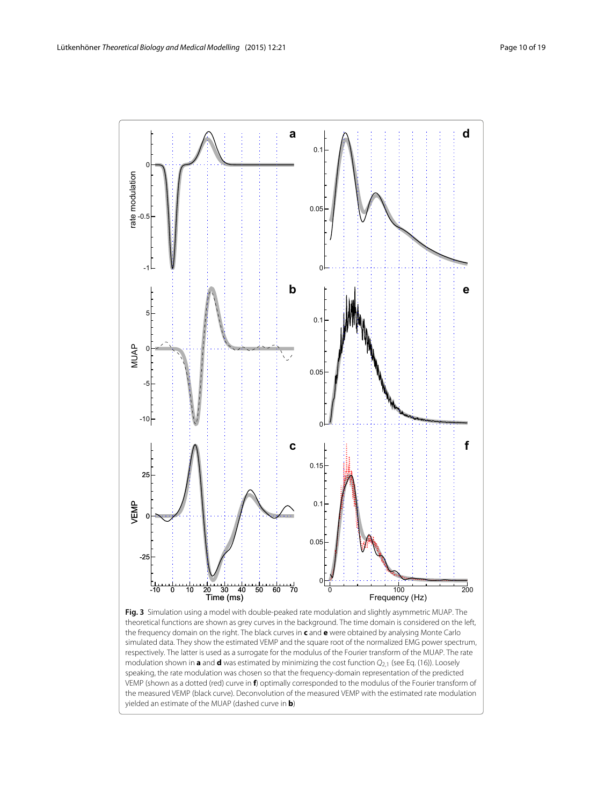

<span id="page-9-1"></span><span id="page-9-0"></span>simulated data. They show the estimated VEMP and the square root of the normalized EMG power spectrum, respectively. The latter is used as a surrogate for the modulus of the Fourier transform of the MUAP. The rate modulation shown in **a** and **d** was estimated by minimizing the cost function Q2,1 (see Eq. [\(16\)](#page-3-0)). Loosely speaking, the rate modulation was chosen so that the frequency-domain representation of the predicted VEMP (shown as a dotted (red) curve in **f**) optimally corresponded to the modulus of the Fourier transform of the measured VEMP (black curve). Deconvolution of the measured VEMP with the estimated rate modulation yielded an estimate of the MUAP (dashed curve in **b**)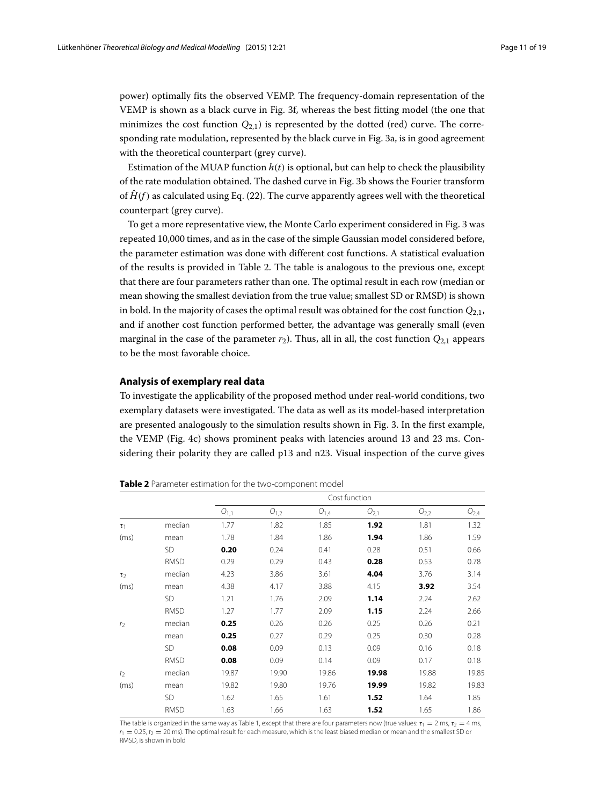power) optimally fits the observed VEMP. The frequency-domain representation of the VEMP is shown as a black curve in Fig. [3](#page-9-0)[f,](#page-9-1) whereas the best fitting model (the one that minimizes the cost function  $Q_{2,1}$ ) is represented by the dotted (red) curve. The corresponding rate modulation, represented by the black curve in Fig. [3](#page-9-0)[a,](#page-9-1) is in good agreement with the theoretical counterpart (grey curve).

Estimation of the MUAP function  $h(t)$  is optional, but can help to check the plausibility of the rate modulation obtained. The dashed curve in Fig. [3](#page-9-0)[b](#page-9-1) shows the Fourier transform of  $\hat{H}(f)$  as calculated using Eq. [\(22\)](#page-6-0). The curve apparently agrees well with the theoretical counterpart (grey curve).

To get a more representative view, the Monte Carlo experiment considered in Fig. [3](#page-9-0) was repeated 10,000 times, and as in the case of the simple Gaussian model considered before, the parameter estimation was done with different cost functions. A statistical evaluation of the results is provided in Table [2.](#page-10-0) The table is analogous to the previous one, except that there are four parameters rather than one. The optimal result in each row (median or mean showing the smallest deviation from the true value; smallest SD or RMSD) is shown in bold. In the majority of cases the optimal result was obtained for the cost function  $Q_{2,1}$ , and if another cost function performed better, the advantage was generally small (even marginal in the case of the parameter  $r_2$ ). Thus, all in all, the cost function  $Q_{2,1}$  appears to be the most favorable choice.

## **Analysis of exemplary real data**

To investigate the applicability of the proposed method under real-world conditions, two exemplary datasets were investigated. The data as well as its model-based interpretation are presented analogously to the simulation results shown in Fig. [3.](#page-9-0) In the first example, the VEMP (Fig. [4](#page-11-0)[c\)](#page-11-1) shows prominent peaks with latencies around 13 and 23 ms. Considering their polarity they are called p13 and n23. Visual inspection of the curve gives

<span id="page-10-0"></span>

| <b>Table 2</b> Parameter estimation for the two-component model |  |
|-----------------------------------------------------------------|--|
|-----------------------------------------------------------------|--|

|                |             | Cost function |           |           |           |           |           |
|----------------|-------------|---------------|-----------|-----------|-----------|-----------|-----------|
|                |             | $Q_{1,1}$     | $Q_{1,2}$ | $Q_{1,4}$ | $Q_{2,1}$ | $Q_{2,2}$ | $Q_{2,4}$ |
| $\tau_1$       | median      | 1.77          | 1.82      | 1.85      | 1.92      | 1.81      | 1.32      |
| (ms)           | mean        | 1.78          | 1.84      | 1.86      | 1.94      | 1.86      | 1.59      |
|                | <b>SD</b>   | 0.20          | 0.24      | 0.41      | 0.28      | 0.51      | 0.66      |
|                | RMSD        | 0.29          | 0.29      | 0.43      | 0.28      | 0.53      | 0.78      |
| $\tau_2$       | median      | 4.23          | 3.86      | 3.61      | 4.04      | 3.76      | 3.14      |
| (ms)           | mean        | 4.38          | 4.17      | 3.88      | 4.15      | 3.92      | 3.54      |
|                | <b>SD</b>   | 1.21          | 1.76      | 2.09      | 1.14      | 2.24      | 2.62      |
|                | RMSD        | 1.27          | 1.77      | 2.09      | 1.15      | 2.24      | 2.66      |
| r <sub>2</sub> | median      | 0.25          | 0.26      | 0.26      | 0.25      | 0.26      | 0.21      |
|                | mean        | 0.25          | 0.27      | 0.29      | 0.25      | 0.30      | 0.28      |
|                | <b>SD</b>   | 0.08          | 0.09      | 0.13      | 0.09      | 0.16      | 0.18      |
|                | RMSD        | 0.08          | 0.09      | 0.14      | 0.09      | 0.17      | 0.18      |
| t <sub>2</sub> | median      | 19.87         | 19.90     | 19.86     | 19.98     | 19.88     | 19.85     |
| (ms)           | mean        | 19.82         | 19.80     | 19.76     | 19.99     | 19.82     | 19.83     |
|                | SD          | 1.62          | 1.65      | 1.61      | 1.52      | 1.64      | 1.85      |
|                | <b>RMSD</b> | 1.63          | 1.66      | 1.63      | 1.52      | 1.65      | 1.86      |

The table is organized in the same way as Table [1,](#page-8-0) except that there are four parameters now (true values:  $\tau_1 = 2$  ms,  $\tau_2 = 4$  ms,  $r_1 = 0.25$ ,  $t_2 = 20$  ms). The optimal result for each measure, which is the least biased median or mean and the smallest SD or RMSD, is shown in bold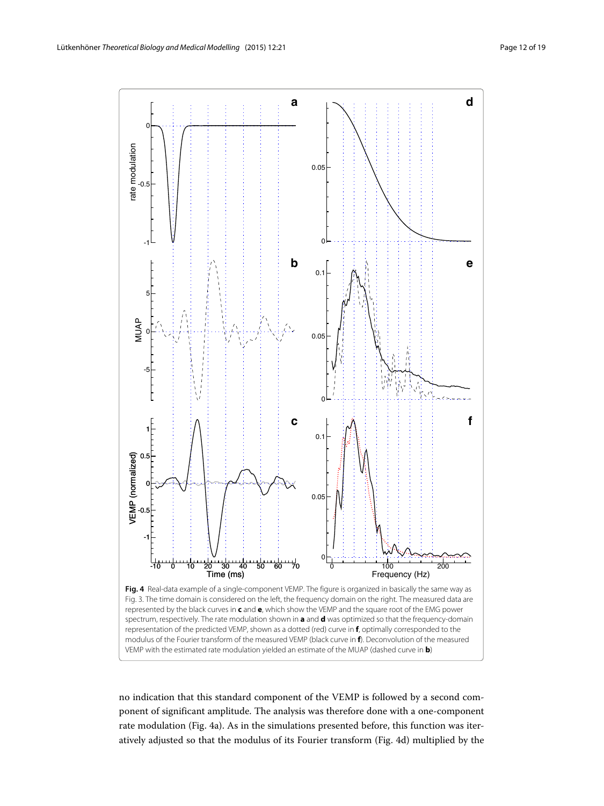

<span id="page-11-1"></span><span id="page-11-0"></span>no indication that this standard component of the VEMP is followed by a second component of significant amplitude. The analysis was therefore done with a one-component rate modulation (Fig. [4](#page-11-0)[a\)](#page-11-1). As in the simulations presented before, this function was iteratively adjusted so that the modulus of its Fourier transform (Fig. [4](#page-11-0)[d\)](#page-11-1) multiplied by the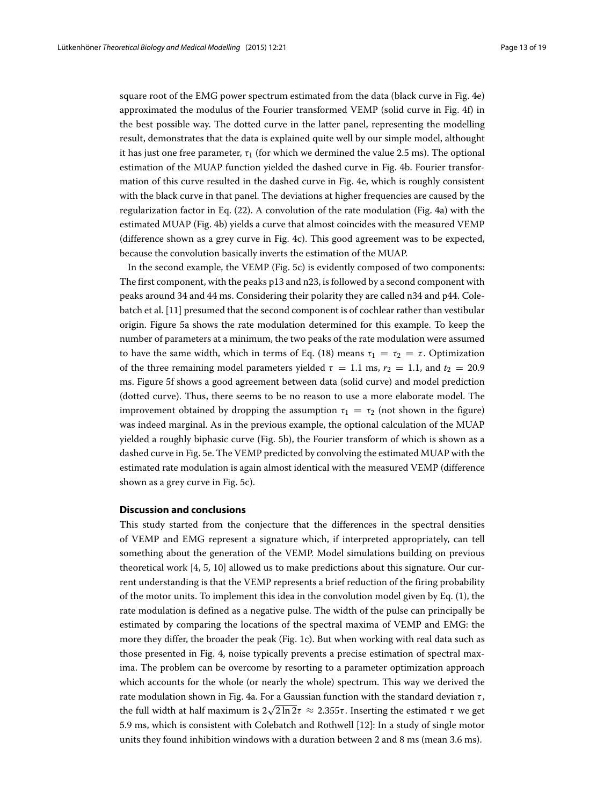square root of the EMG power spectrum estimated from the data (black curve in Fig. [4](#page-11-0)[e\)](#page-11-1) approximated the modulus of the Fourier transformed VEMP (solid curve in Fig. [4](#page-11-0)[f\)](#page-11-1) in the best possible way. The dotted curve in the latter panel, representing the modelling result, demonstrates that the data is explained quite well by our simple model, althought it has just one free parameter,  $\tau_1$  (for which we dermined the value 2.5 ms). The optional estimation of the MUAP function yielded the dashed curve in Fig. [4](#page-11-0)[b.](#page-11-1) Fourier transformation of this curve resulted in the dashed curve in Fig. [4](#page-11-0)[e,](#page-11-1) which is roughly consistent with the black curve in that panel. The deviations at higher frequencies are caused by the regularization factor in Eq. [\(22\)](#page-6-0). A convolution of the rate modulation (Fig. [4](#page-11-0)[a\)](#page-11-1) with the estimated MUAP (Fig. [4](#page-11-0)[b\)](#page-11-1) yields a curve that almost coincides with the measured VEMP (difference shown as a grey curve in Fig. [4](#page-11-0)[c\)](#page-11-1). This good agreement was to be expected, because the convolution basically inverts the estimation of the MUAP.

In the second example, the VEMP (Fig. [5c](#page-13-0)) is evidently composed of two components: The first component, with the peaks p13 and n23, is followed by a second component with peaks around 34 and 44 ms. Considering their polarity they are called n34 and p44. Colebatch et al. [\[11\]](#page-18-7) presumed that the second component is of cochlear rather than vestibular origin. Figure [5a](#page-13-0) shows the rate modulation determined for this example. To keep the number of parameters at a minimum, the two peaks of the rate modulation were assumed to have the same width, which in terms of Eq. [\(18\)](#page-4-0) means  $\tau_1 = \tau_2 = \tau$ . Optimization of the three remaining model parameters yielded  $\tau = 1.1$  ms,  $r_2 = 1.1$ , and  $t_2 = 20.9$ ms. Figure [5f](#page-13-0) shows a good agreement between data (solid curve) and model prediction (dotted curve). Thus, there seems to be no reason to use a more elaborate model. The improvement obtained by dropping the assumption  $\tau_1 = \tau_2$  (not shown in the figure) was indeed marginal. As in the previous example, the optional calculation of the MUAP yielded a roughly biphasic curve (Fig. [5b](#page-13-0)), the Fourier transform of which is shown as a dashed curve in Fig. [5e](#page-13-0). The VEMP predicted by convolving the estimated MUAP with the estimated rate modulation is again almost identical with the measured VEMP (difference shown as a grey curve in Fig. [5c](#page-13-0)).

#### **Discussion and conclusions**

This study started from the conjecture that the differences in the spectral densities of VEMP and EMG represent a signature which, if interpreted appropriately, can tell something about the generation of the VEMP. Model simulations building on previous theoretical work [\[4,](#page-18-0) [5,](#page-18-1) [10\]](#page-18-6) allowed us to make predictions about this signature. Our current understanding is that the VEMP represents a brief reduction of the firing probability of the motor units. To implement this idea in the convolution model given by Eq. [\(1\)](#page-1-1), the rate modulation is defined as a negative pulse. The width of the pulse can principally be estimated by comparing the locations of the spectral maxima of VEMP and EMG: the more they differ, the broader the peak (Fig. [1](#page-5-0)[c\)](#page-5-1). But when working with real data such as those presented in Fig. [4,](#page-11-0) noise typically prevents a precise estimation of spectral maxima. The problem can be overcome by resorting to a parameter optimization approach which accounts for the whole (or nearly the whole) spectrum. This way we derived the rate modulation shown in Fig. [4](#page-11-0)[a.](#page-11-1) For a Gaussian function with the standard deviation  $\tau$ , the full width at half maximum is  $2\sqrt{2 \ln 2} \tau \approx 2.355 \tau$ . Inserting the estimated  $\tau$  we get 5.9 ms, which is consistent with Colebatch and Rothwell [\[12\]](#page-18-8): In a study of single motor units they found inhibition windows with a duration between 2 and 8 ms (mean 3.6 ms).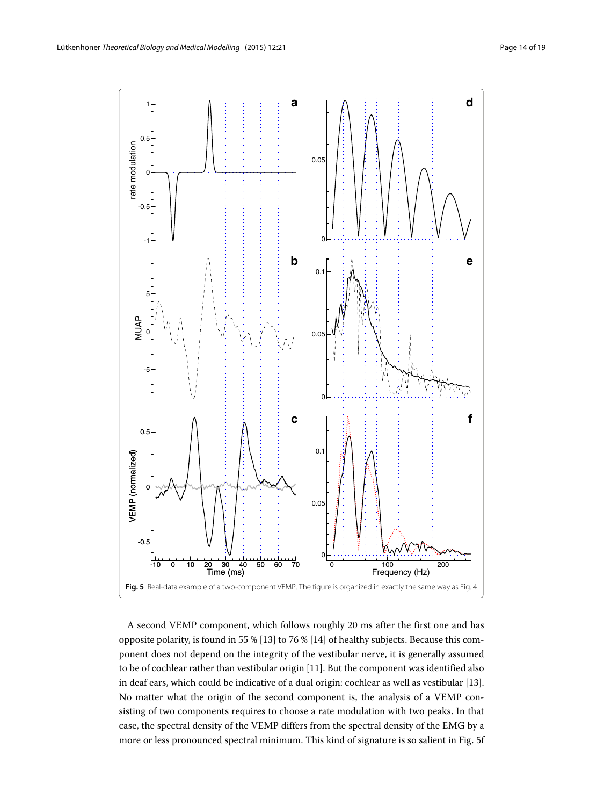

<span id="page-13-0"></span>A second VEMP component, which follows roughly 20 ms after the first one and has opposite polarity, is found in 55 % [\[13\]](#page-18-9) to 76 % [\[14\]](#page-18-10) of healthy subjects. Because this component does not depend on the integrity of the vestibular nerve, it is generally assumed to be of cochlear rather than vestibular origin [\[11\]](#page-18-7). But the component was identified also in deaf ears, which could be indicative of a dual origin: cochlear as well as vestibular [\[13\]](#page-18-9). No matter what the origin of the second component is, the analysis of a VEMP consisting of two components requires to choose a rate modulation with two peaks. In that case, the spectral density of the VEMP differs from the spectral density of the EMG by a more or less pronounced spectral minimum. This kind of signature is so salient in Fig. [5f](#page-13-0)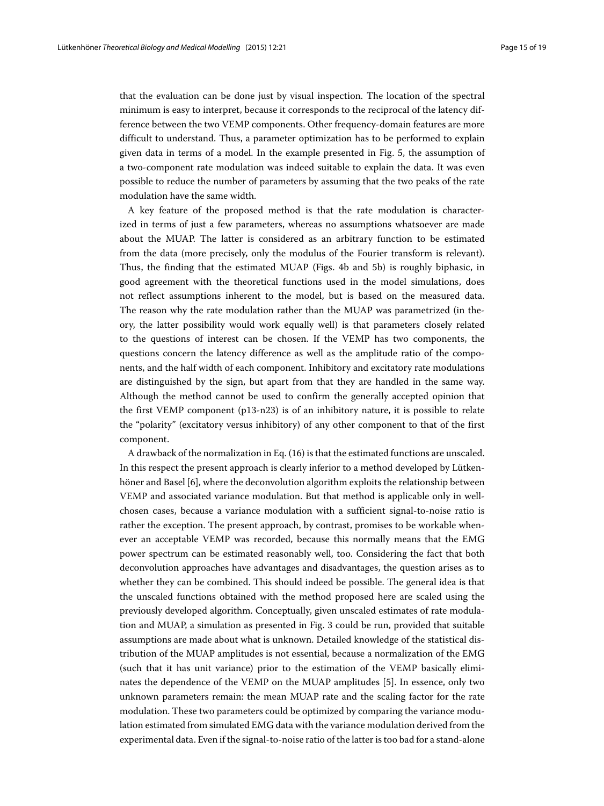that the evaluation can be done just by visual inspection. The location of the spectral minimum is easy to interpret, because it corresponds to the reciprocal of the latency difference between the two VEMP components. Other frequency-domain features are more difficult to understand. Thus, a parameter optimization has to be performed to explain given data in terms of a model. In the example presented in Fig. [5,](#page-13-0) the assumption of a two-component rate modulation was indeed suitable to explain the data. It was even possible to reduce the number of parameters by assuming that the two peaks of the rate modulation have the same width.

A key feature of the proposed method is that the rate modulation is characterized in terms of just a few parameters, whereas no assumptions whatsoever are made about the MUAP. The latter is considered as an arbitrary function to be estimated from the data (more precisely, only the modulus of the Fourier transform is relevant). Thus, the finding that the estimated MUAP (Figs. [4](#page-11-0)[b](#page-11-1) and [5b](#page-13-0)) is roughly biphasic, in good agreement with the theoretical functions used in the model simulations, does not reflect assumptions inherent to the model, but is based on the measured data. The reason why the rate modulation rather than the MUAP was parametrized (in theory, the latter possibility would work equally well) is that parameters closely related to the questions of interest can be chosen. If the VEMP has two components, the questions concern the latency difference as well as the amplitude ratio of the components, and the half width of each component. Inhibitory and excitatory rate modulations are distinguished by the sign, but apart from that they are handled in the same way. Although the method cannot be used to confirm the generally accepted opinion that the first VEMP component (p13-n23) is of an inhibitory nature, it is possible to relate the "polarity" (excitatory versus inhibitory) of any other component to that of the first component.

A drawback of the normalization in Eq. [\(16\)](#page-3-0) is that the estimated functions are unscaled. In this respect the present approach is clearly inferior to a method developed by Lütken-höner and Basel [\[6\]](#page-18-2), where the deconvolution algorithm exploits the relationship between VEMP and associated variance modulation. But that method is applicable only in wellchosen cases, because a variance modulation with a sufficient signal-to-noise ratio is rather the exception. The present approach, by contrast, promises to be workable whenever an acceptable VEMP was recorded, because this normally means that the EMG power spectrum can be estimated reasonably well, too. Considering the fact that both deconvolution approaches have advantages and disadvantages, the question arises as to whether they can be combined. This should indeed be possible. The general idea is that the unscaled functions obtained with the method proposed here are scaled using the previously developed algorithm. Conceptually, given unscaled estimates of rate modulation and MUAP, a simulation as presented in Fig. [3](#page-9-0) could be run, provided that suitable assumptions are made about what is unknown. Detailed knowledge of the statistical distribution of the MUAP amplitudes is not essential, because a normalization of the EMG (such that it has unit variance) prior to the estimation of the VEMP basically eliminates the dependence of the VEMP on the MUAP amplitudes [\[5\]](#page-18-1). In essence, only two unknown parameters remain: the mean MUAP rate and the scaling factor for the rate modulation. These two parameters could be optimized by comparing the variance modulation estimated from simulated EMG data with the variance modulation derived from the experimental data. Even if the signal-to-noise ratio of the latter is too bad for a stand-alone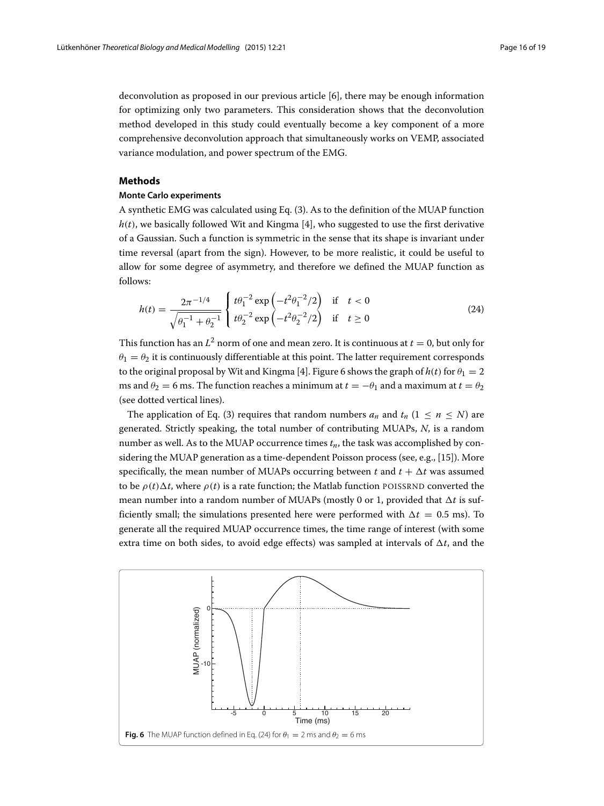deconvolution as proposed in our previous article [\[6\]](#page-18-2), there may be enough information for optimizing only two parameters. This consideration shows that the deconvolution method developed in this study could eventually become a key component of a more comprehensive deconvolution approach that simultaneously works on VEMP, associated variance modulation, and power spectrum of the EMG.

#### <span id="page-15-1"></span>**Methods**

#### **Monte Carlo experiments**

A synthetic EMG was calculated using Eq. [\(3\)](#page-2-3). As to the definition of the MUAP function *h*(*t*), we basically followed Wit and Kingma [\[4\]](#page-18-0), who suggested to use the first derivative of a Gaussian. Such a function is symmetric in the sense that its shape is invariant under time reversal (apart from the sign). However, to be more realistic, it could be useful to allow for some degree of asymmetry, and therefore we defined the MUAP function as follows:

<span id="page-15-0"></span>
$$
h(t) = \frac{2\pi^{-1/4}}{\sqrt{\theta_1^{-1} + \theta_2^{-1}}} \begin{cases} t\theta_1^{-2} \exp\left(-t^2\theta_1^{-2}/2\right) & \text{if } t < 0\\ t\theta_2^{-2} \exp\left(-t^2\theta_2^{-2}/2\right) & \text{if } t \ge 0 \end{cases}
$$
(24)

This function has an  $L^2$  norm of one and mean zero. It is continuous at  $t = 0$ , but only for  $\theta_1 = \theta_2$  it is continuously differentiable at this point. The latter requirement corresponds to the original proposal by Wit and Kingma [\[4\]](#page-18-0). Figure [6](#page-15-2) shows the graph of  $h(t)$  for  $\theta_1 = 2$ ms and  $\theta_2 = 6$  ms. The function reaches a minimum at  $t = -\theta_1$  and a maximum at  $t = \theta_2$ (see dotted vertical lines).

The application of Eq. [\(3\)](#page-2-3) requires that random numbers  $a_n$  and  $t_n$  ( $1 \le n \le N$ ) are generated. Strictly speaking, the total number of contributing MUAPs, *N*, is a random number as well. As to the MUAP occurrence times  $t_n$ , the task was accomplished by considering the MUAP generation as a time-dependent Poisson process (see, e.g., [\[15\]](#page-18-11)). More specifically, the mean number of MUAPs occurring between *t* and  $t + \Delta t$  was assumed to be  $\rho(t)\Delta t$ , where  $\rho(t)$  is a rate function; the Matlab function POISSRND converted the mean number into a random number of MUAPs (mostly 0 or 1, provided that  $\Delta t$  is sufficiently small; the simulations presented here were performed with  $\Delta t = 0.5$  ms). To generate all the required MUAP occurrence times, the time range of interest (with some extra time on both sides, to avoid edge effects) was sampled at intervals of  $\Delta t$ , and the

<span id="page-15-2"></span>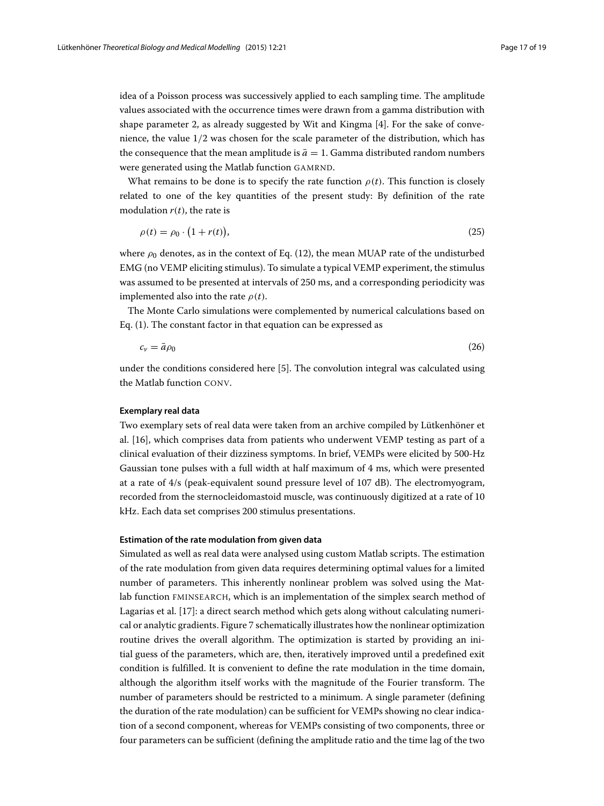idea of a Poisson process was successively applied to each sampling time. The amplitude values associated with the occurrence times were drawn from a gamma distribution with shape parameter 2, as already suggested by Wit and Kingma [\[4\]](#page-18-0). For the sake of convenience, the value 1/2 was chosen for the scale parameter of the distribution, which has the consequence that the mean amplitude is  $\bar{a} = 1$ . Gamma distributed random numbers were generated using the Matlab function GAMRND.

What remains to be done is to specify the rate function  $\rho(t)$ . This function is closely related to one of the key quantities of the present study: By definition of the rate modulation  $r(t)$ , the rate is

$$
\rho(t) = \rho_0 \cdot \left(1 + r(t)\right),\tag{25}
$$

where  $\rho_0$  denotes, as in the context of Eq. [\(12\)](#page-3-1), the mean MUAP rate of the undisturbed EMG (no VEMP eliciting stimulus). To simulate a typical VEMP experiment, the stimulus was assumed to be presented at intervals of 250 ms, and a corresponding periodicity was implemented also into the rate  $\rho(t)$ .

The Monte Carlo simulations were complemented by numerical calculations based on Eq. [\(1\)](#page-1-1). The constant factor in that equation can be expressed as

 $c_v = \bar{a}\rho_0$  (26)

under the conditions considered here [\[5\]](#page-18-1). The convolution integral was calculated using the Matlab function CONV.

### **Exemplary real data**

Two exemplary sets of real data were taken from an archive compiled by Lütkenhöner et al. [\[16\]](#page-18-12), which comprises data from patients who underwent VEMP testing as part of a clinical evaluation of their dizziness symptoms. In brief, VEMPs were elicited by 500-Hz Gaussian tone pulses with a full width at half maximum of 4 ms, which were presented at a rate of 4/s (peak-equivalent sound pressure level of 107 dB). The electromyogram, recorded from the sternocleidomastoid muscle, was continuously digitized at a rate of 10 kHz. Each data set comprises 200 stimulus presentations.

#### **Estimation of the rate modulation from given data**

Simulated as well as real data were analysed using custom Matlab scripts. The estimation of the rate modulation from given data requires determining optimal values for a limited number of parameters. This inherently nonlinear problem was solved using the Matlab function FMINSEARCH, which is an implementation of the simplex search method of Lagarias et al. [\[17\]](#page-18-13): a direct search method which gets along without calculating numerical or analytic gradients. Figure [7](#page-17-3) schematically illustrates how the nonlinear optimization routine drives the overall algorithm. The optimization is started by providing an initial guess of the parameters, which are, then, iteratively improved until a predefined exit condition is fulfilled. It is convenient to define the rate modulation in the time domain, although the algorithm itself works with the magnitude of the Fourier transform. The number of parameters should be restricted to a minimum. A single parameter (defining the duration of the rate modulation) can be sufficient for VEMPs showing no clear indication of a second component, whereas for VEMPs consisting of two components, three or four parameters can be sufficient (defining the amplitude ratio and the time lag of the two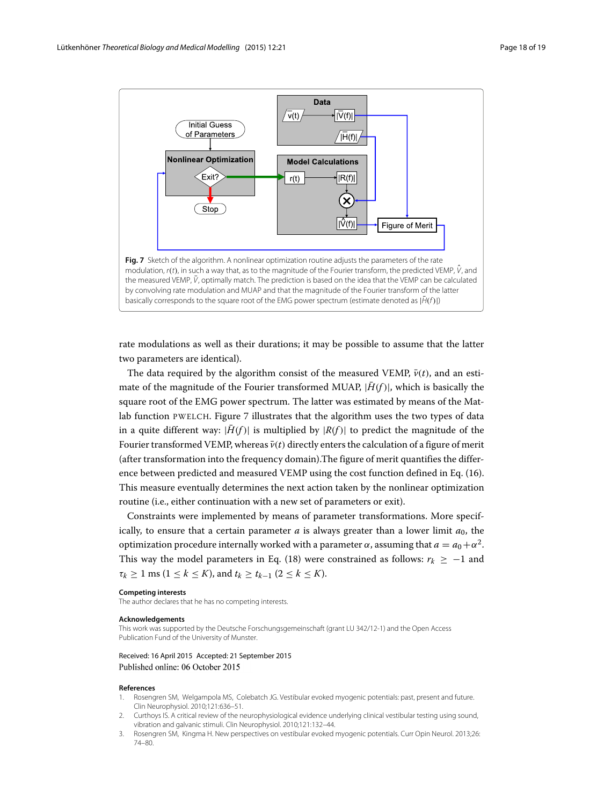

<span id="page-17-3"></span>rate modulations as well as their durations; it may be possible to assume that the latter two parameters are identical).

The data required by the algorithm consist of the measured VEMP,  $\bar{v}(t)$ , and an estimate of the magnitude of the Fourier transformed MUAP,  $|\bar{H}(f)|$ , which is basically the square root of the EMG power spectrum. The latter was estimated by means of the Matlab function PWELCH. Figure [7](#page-17-3) illustrates that the algorithm uses the two types of data in a quite different way:  $|\bar{H}(f)|$  is multiplied by  $|R(f)|$  to predict the magnitude of the Fourier transformed VEMP, whereas  $\bar{v}(t)$  directly enters the calculation of a figure of merit (after transformation into the frequency domain).The figure of merit quantifies the difference between predicted and measured VEMP using the cost function defined in Eq. [\(16\)](#page-3-0). This measure eventually determines the next action taken by the nonlinear optimization routine (i.e., either continuation with a new set of parameters or exit).

Constraints were implemented by means of parameter transformations. More specifically, to ensure that a certain parameter  $a$  is always greater than a lower limit  $a_0$ , the optimization procedure internally worked with a parameter  $\alpha$ , assuming that  $a = a_0 + \alpha^2$ . This way the model parameters in Eq. [\(18\)](#page-4-0) were constrained as follows:  $r_k \ge -1$  and  $\tau_k \geq 1$  ms  $(1 \leq k \leq K)$ , and  $t_k \geq t_{k-1}$   $(2 \leq k \leq K)$ .

#### **Competing interests**

The author declares that he has no competing interests.

#### **Acknowledgements**

This work was supported by the Deutsche Forschungsgemeinschaft (grant LU 342/12-1) and the Open Access Publication Fund of the University of Munster.

Received: 16 April 2015 Accepted: 21 September 2015 Published online: 06 October 2015

#### **References**

- <span id="page-17-0"></span>1. Rosengren SM, Welgampola MS, Colebatch JG. Vestibular evoked myogenic potentials: past, present and future. Clin Neurophysiol. 2010;121:636–51.
- <span id="page-17-1"></span>2. Curthoys IS. A critical review of the neurophysiological evidence underlying clinical vestibular testing using sound, vibration and galvanic stimuli. Clin Neurophysiol. 2010;121:132–44.
- <span id="page-17-2"></span>3. Rosengren SM, Kingma H. New perspectives on vestibular evoked myogenic potentials. Curr Opin Neurol. 2013;26: 74–80.